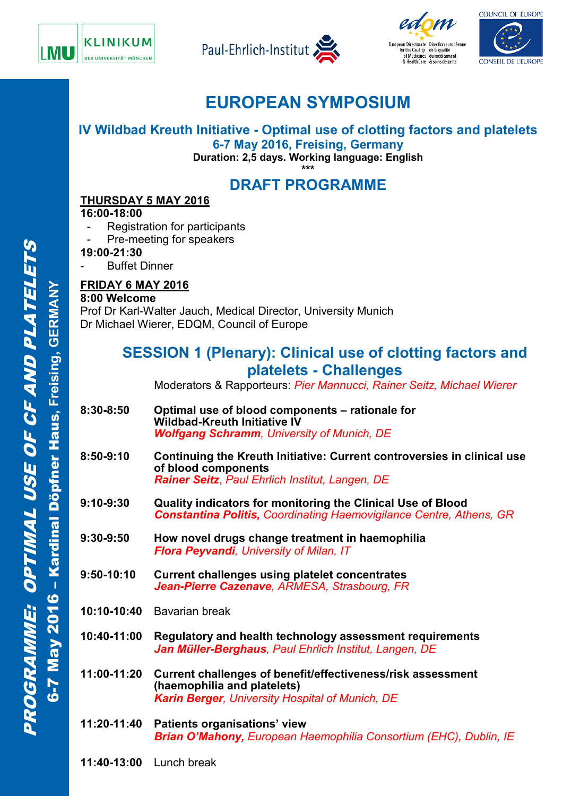







# **EUROPEAN SYMPOSIUM**

**IV Wildbad Kreuth Initiative - Optimal use of clotting factors and platelets 6-7 May 2016, Freising, Germany**

**Duration: 2,5 days. Working language: English \*\*\***

## **DRAFT PROGRAMME**

### **THURSDAY 5 MAY 2016**

### **16:00-18:00**

- Registration for participants
- Pre-meeting for speakers

**19:00-21:30**

**Buffet Dinner** 

### **FRIDAY 6 MAY 2016**

#### **8:00 Welcome**

Prof Dr Karl-Walter Jauch, Medical Director, University Munich Dr Michael Wierer, EDQM, Council of Europe

### **SESSION 1 (Plenary): Clinical use of clotting factors and platelets - Challenges**

Moderators & Rapporteurs: *Pier Mannucci, Rainer Seitz, Michael Wierer*

- **8:30-8:50 Optimal use of blood components – rationale for Wildbad-Kreuth Initiative IV** *Wolfgang Schramm, University of Munich, DE*
- **8:50-9:10 Continuing the Kreuth Initiative: Current controversies in clinical use of blood components**  *Rainer Seitz*, *Paul Ehrlich Institut, Langen, DE*
- **9:10-9:30 Quality indicators for monitoring the Clinical Use of Blood** *Constantina Politis, Coordinating Haemovigilance Centre, Athens, GR*
- **9:30-9:50 How novel drugs change treatment in haemophilia** *Flora Peyvandi, University of Milan, IT*
- **9:50-10:10 Current challenges using platelet concentrates** *Jean-Pierre Cazenave, ARMESA, Strasbourg, FR*
- **10:10-10:40** Bavarian break
- **10:40-11:00 Regulatory and health technology assessment requirements**  *Jan Müller-Berghaus, Paul Ehrlich Institut, Langen, DE*
- **11:00-11:20 Current challenges of benefit/effectiveness/risk assessment (haemophilia and platelets)** *Karin Berger, University Hospital of Munich, DE*
- **11:20-11:40 Patients organisations' view** *Brian O'Mahony, European Haemophilia Consortium (EHC), Dublin, IE*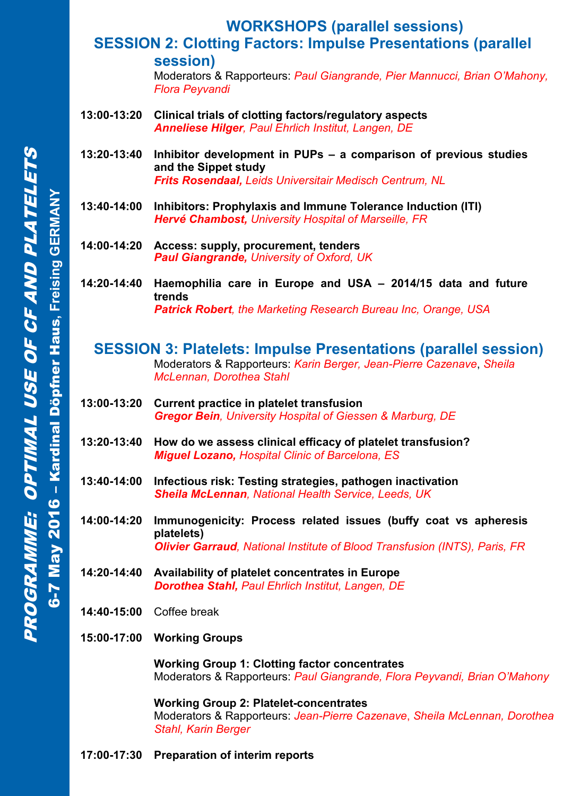## **WORKSHOPS (parallel sessions)**

### **SESSION 2: Clotting Factors: Impulse Presentations (parallel session)**

Moderators & Rapporteurs: *Paul Giangrande, Pier Mannucci, Brian O'Mahony, Flora Peyvandi*

- **13:00-13:20 Clinical trials of clotting factors/regulatory aspects** *Anneliese Hilger, Paul Ehrlich Institut, Langen, DE*
- **13:20-13:40 Inhibitor development in PUPs – a comparison of previous studies and the Sippet study** *Frits Rosendaal, Leids Universitair Medisch Centrum, NL*
- **13:40-14:00 Inhibitors: Prophylaxis and Immune Tolerance Induction (ITI)** *Hervé Chambost, University Hospital of Marseille, FR*
- **14:00-14:20 Access: supply, procurement, tenders** *Paul Giangrande, University of Oxford, UK*
- **14:20-14:40 Haemophilia care in Europe and USA – 2014/15 data and future trends** *Patrick Robert, the Marketing Research Bureau Inc, Orange, USA*

### **SESSION 3: Platelets: Impulse Presentations (parallel session)** Moderators & Rapporteurs: *Karin Berger, Jean-Pierre Cazenave*, *Sheila McLennan, Dorothea Stahl*

- **13:00-13:20 Current practice in platelet transfusion** *Gregor Bein, University Hospital of Giessen & Marburg, DE*
- **13:20-13:40 How do we assess clinical efficacy of platelet transfusion?** *Miguel Lozano, Hospital Clinic of Barcelona, ES*
- **13:40-14:00 Infectious risk: Testing strategies, pathogen inactivation** *Sheila McLennan, National Health Service, Leeds, UK*
- **14:00-14:20 Immunogenicity: Process related issues (buffy coat vs apheresis platelets)** *Olivier Garraud, National Institute of Blood Transfusion (INTS), Paris, FR*
- **14:20-14:40 Availability of platelet concentrates in Europe** *Dorothea Stahl, Paul Ehrlich Institut, Langen, DE*
- **14:40-15:00** Coffee break
- **15:00-17:00 Working Groups**

**Working Group 1: Clotting factor concentrates** Moderators & Rapporteurs: *Paul Giangrande, Flora Peyvandi, Brian O'Mahony*

**Working Group 2: Platelet-concentrates** Moderators & Rapporteurs: *Jean-Pierre Cazenave*, *Sheila McLennan, Dorothea Stahl, Karin Berger*

### **17:00-17:30 Preparation of interim reports**